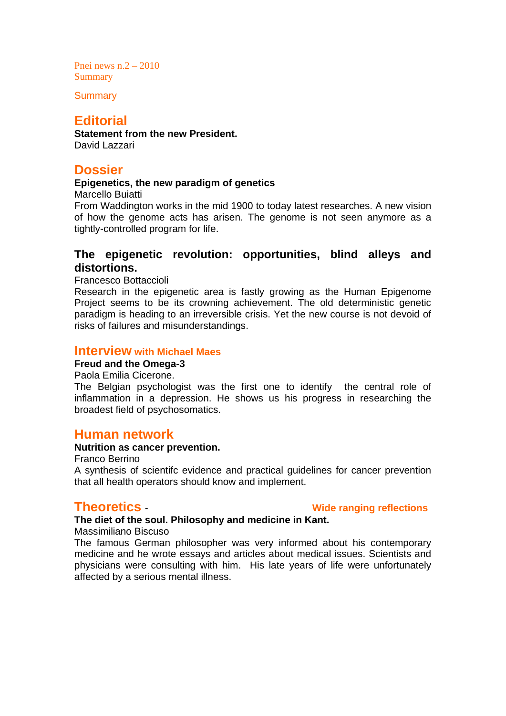Pnei news  $n.2 - 2010$ **Summary** 

**Summary** 

# **Editorial**

**Statement from the new President.**  David Lazzari

# **Dossier**

### **Epigenetics, the new paradigm of genetics**

Marcello Buiatti

From Waddington works in the mid 1900 to today latest researches. A new vision of how the genome acts has arisen. The genome is not seen anymore as a tightly-controlled program for life.

## **The epigenetic revolution: opportunities, blind alleys and distortions.**

Francesco Bottaccioli

Research in the epigenetic area is fastly growing as the Human Epigenome Project seems to be its crowning achievement. The old deterministic genetic paradigm is heading to an irreversible crisis. Yet the new course is not devoid of risks of failures and misunderstandings.

### **Interview with Michael Maes**

### **Freud and the Omega-3**

Paola Emilia Cicerone.

The Belgian psychologist was the first one to identify the central role of inflammation in a depression. He shows us his progress in researching the broadest field of psychosomatics.

## **Human network**

### **Nutrition as cancer prevention.**

Franco Berrino A synthesis of scientifc evidence and practical guidelines for cancer prevention that all health operators should know and implement.

**Theoretics** - **Wide ranging reflections** 

### **The diet of the soul. Philosophy and medicine in Kant.**

Massimiliano Biscuso

The famous German philosopher was very informed about his contemporary medicine and he wrote essays and articles about medical issues. Scientists and physicians were consulting with him. His late years of life were unfortunately affected by a serious mental illness.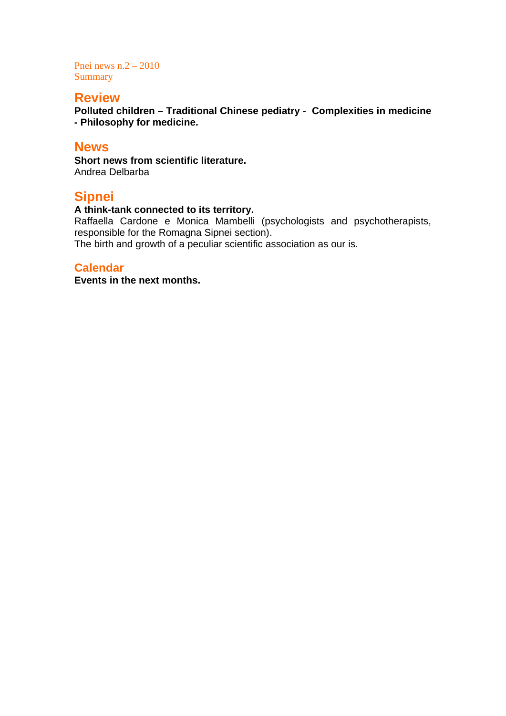Pnei news n.2 – 2010 Summary

# **Review**

**Polluted children – Traditional Chinese pediatry - Complexities in medicine - Philosophy for medicine.** 

## **News**

**Short news from scientific literature.**  Andrea Delbarba

# **Sipnei**

## **A think-tank connected to its territory.**

Raffaella Cardone e Monica Mambelli (psychologists and psychotherapists, responsible for the Romagna Sipnei section).

The birth and growth of a peculiar scientific association as our is.

## **Calendar**

**Events in the next months.**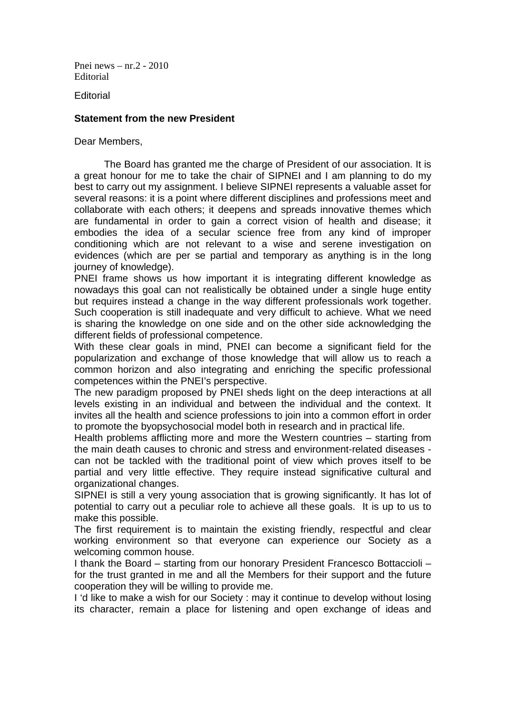Pnei news – nr.2 - 2010 Editorial

**Editorial** 

### **Statement from the new President**

Dear Members,

The Board has granted me the charge of President of our association. It is a great honour for me to take the chair of SIPNEI and I am planning to do my best to carry out my assignment. I believe SIPNEI represents a valuable asset for several reasons: it is a point where different disciplines and professions meet and collaborate with each others; it deepens and spreads innovative themes which are fundamental in order to gain a correct vision of health and disease; it embodies the idea of a secular science free from any kind of improper conditioning which are not relevant to a wise and serene investigation on evidences (which are per se partial and temporary as anything is in the long journey of knowledge).

PNEI frame shows us how important it is integrating different knowledge as nowadays this goal can not realistically be obtained under a single huge entity but requires instead a change in the way different professionals work together. Such cooperation is still inadequate and very difficult to achieve. What we need is sharing the knowledge on one side and on the other side acknowledging the different fields of professional competence.

With these clear goals in mind, PNEI can become a significant field for the popularization and exchange of those knowledge that will allow us to reach a common horizon and also integrating and enriching the specific professional competences within the PNEI's perspective.

The new paradigm proposed by PNEI sheds light on the deep interactions at all levels existing in an individual and between the individual and the context. It invites all the health and science professions to join into a common effort in order to promote the byopsychosocial model both in research and in practical life.

Health problems afflicting more and more the Western countries – starting from the main death causes to chronic and stress and environment-related diseases can not be tackled with the traditional point of view which proves itself to be partial and very little effective. They require instead significative cultural and organizational changes.

SIPNEI is still a very young association that is growing significantly. It has lot of potential to carry out a peculiar role to achieve all these goals. It is up to us to make this possible.

The first requirement is to maintain the existing friendly, respectful and clear working environment so that everyone can experience our Society as a welcoming common house.

I thank the Board – starting from our honorary President Francesco Bottaccioli – for the trust granted in me and all the Members for their support and the future cooperation they will be willing to provide me.

I 'd like to make a wish for our Society : may it continue to develop without losing its character, remain a place for listening and open exchange of ideas and